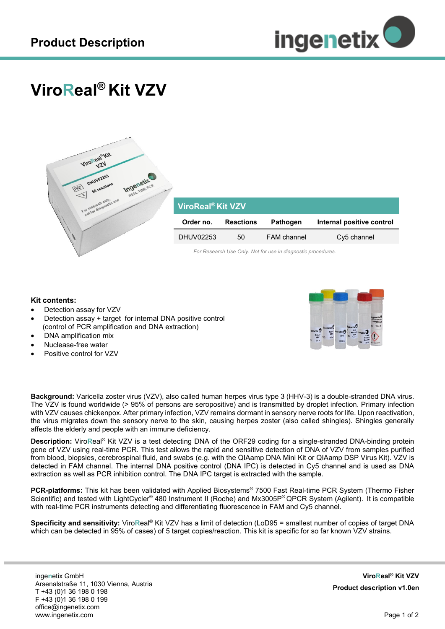

## **ViroReal® Kit VZV**



## **ViroReal® Kit VZV**

| Order no. | <b>Reactions</b> | <b>Pathogen</b>    | Internal positive control |
|-----------|------------------|--------------------|---------------------------|
| DHUV02253 | 50               | <b>FAM</b> channel | Cy5 channel               |

*For Research Use Only. Not for use in diagnostic procedures.*

## **Kit contents:**

- Detection assay for VZV
- Detection assay + target for internal DNA positive control (control of PCR amplification and DNA extraction)
- DNA amplification mix
- Nuclease-free water
- Positive control for VZV



**Background:** Varicella zoster virus (VZV), also called human herpes virus type 3 (HHV-3) is a double-stranded DNA virus. The VZV is found worldwide (> 95% of persons are seropositive) and is transmitted by droplet infection. Primary infection with VZV causes chickenpox. After primary infection, VZV remains dormant in sensory nerve roots for life. Upon reactivation, the virus migrates down the sensory nerve to the skin, causing herpes zoster (also called shingles). Shingles generally affects the elderly and people with an immune deficiency.

**Description:** Viro**R**eal® Kit VZV is a test detecting DNA of the ORF29 coding for a single-stranded DNA-binding protein gene of VZV using real-time PCR. This test allows the rapid and sensitive detection of DNA of VZV from samples purified from blood, biopsies, cerebrospinal fluid, and swabs (e.g. with the QIAamp DNA Mini Kit or QIAamp DSP Virus Kit). VZV is detected in FAM channel. The internal DNA positive control (DNA IPC) is detected in Cy5 channel and is used as DNA extraction as well as PCR inhibition control. The DNA IPC target is extracted with the sample.

**PCR-platforms:** This kit has been validated with Applied Biosystems® 7500 Fast Real-time PCR System (Thermo Fisher Scientific) and tested with LightCycler® 480 Instrument II (Roche) and Mx3005P® QPCR System (Agilent). It is compatible with real-time PCR instruments detecting and differentiating fluorescence in FAM and Cy5 channel.

**Specificity and sensitivity:** Viro**R**eal® Kit VZV has a limit of detection (LoD95 = smallest number of copies of target DNA which can be detected in 95% of cases) of 5 target copies/reaction. This kit is specific for so far known VZV strains.